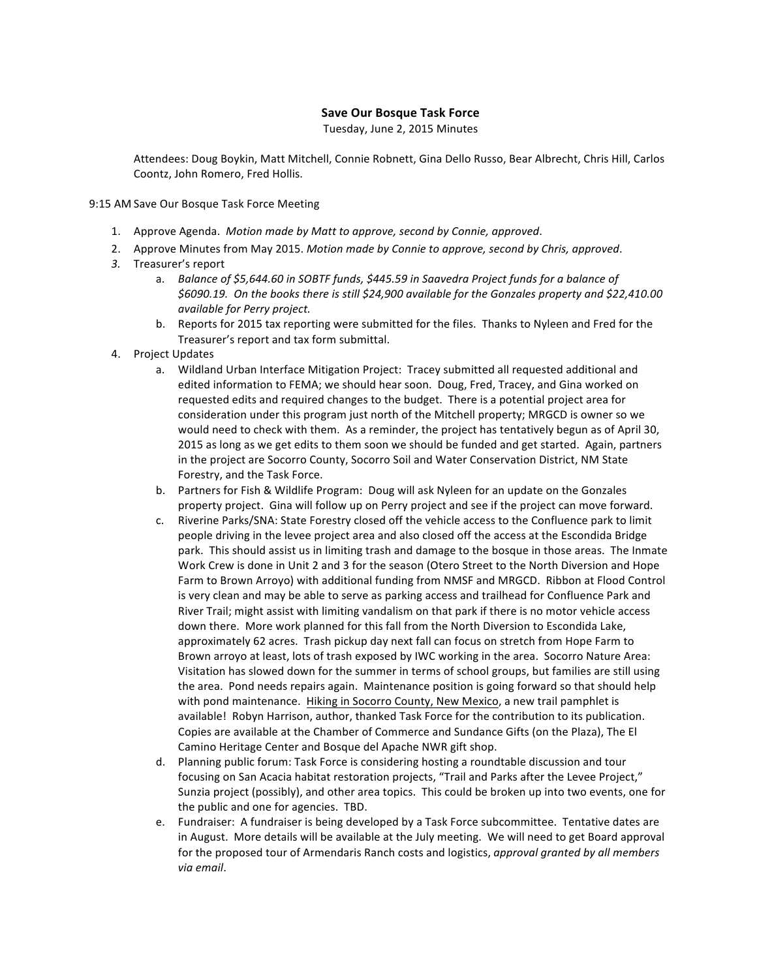## **Save Our Bosque Task Force**

Tuesday, June 2, 2015 Minutes

Attendees: Doug Boykin, Matt Mitchell, Connie Robnett, Gina Dello Russo, Bear Albrecht, Chris Hill, Carlos Coontz, John Romero, Fred Hollis.

9:15 AM Save Our Bosque Task Force Meeting

- 1. Approve Agenda. Motion made by Matt to approve, second by Connie, approved.
- 2. Approve Minutes from May 2015. Motion made by Connie to approve, second by Chris, approved.
- 3. Treasurer's report
	- a. *Balance of \$5,644.60 in SOBTF funds, \$445.59 in Saavedra Project funds for a balance of* \$6090.19. On the books there is still \$24,900 available for the Gonzales property and \$22,410.00 *available for Perry project.*
	- b. Reports for 2015 tax reporting were submitted for the files. Thanks to Nyleen and Fred for the Treasurer's report and tax form submittal.
- 4. Project Updates
	- a. Wildland Urban Interface Mitigation Project: Tracey submitted all requested additional and edited information to FEMA; we should hear soon. Doug, Fred, Tracey, and Gina worked on requested edits and required changes to the budget. There is a potential project area for consideration under this program just north of the Mitchell property; MRGCD is owner so we would need to check with them. As a reminder, the project has tentatively begun as of April 30, 2015 as long as we get edits to them soon we should be funded and get started. Again, partners in the project are Socorro County, Socorro Soil and Water Conservation District, NM State Forestry, and the Task Force.
	- b. Partners for Fish & Wildlife Program: Doug will ask Nyleen for an update on the Gonzales property project. Gina will follow up on Perry project and see if the project can move forward.
	- c. Riverine Parks/SNA: State Forestry closed off the vehicle access to the Confluence park to limit people driving in the levee project area and also closed off the access at the Escondida Bridge park. This should assist us in limiting trash and damage to the bosque in those areas. The Inmate Work Crew is done in Unit 2 and 3 for the season (Otero Street to the North Diversion and Hope Farm to Brown Arroyo) with additional funding from NMSF and MRGCD. Ribbon at Flood Control is very clean and may be able to serve as parking access and trailhead for Confluence Park and River Trail; might assist with limiting vandalism on that park if there is no motor vehicle access down there. More work planned for this fall from the North Diversion to Escondida Lake, approximately 62 acres. Trash pickup day next fall can focus on stretch from Hope Farm to Brown arroyo at least, lots of trash exposed by IWC working in the area. Socorro Nature Area: Visitation has slowed down for the summer in terms of school groups, but families are still using the area. Pond needs repairs again. Maintenance position is going forward so that should help with pond maintenance. Hiking in Socorro County, New Mexico, a new trail pamphlet is available! Robyn Harrison, author, thanked Task Force for the contribution to its publication. Copies are available at the Chamber of Commerce and Sundance Gifts (on the Plaza), The El Camino Heritage Center and Bosque del Apache NWR gift shop.
	- d. Planning public forum: Task Force is considering hosting a roundtable discussion and tour focusing on San Acacia habitat restoration projects, "Trail and Parks after the Levee Project," Sunzia project (possibly), and other area topics. This could be broken up into two events, one for the public and one for agencies. TBD.
	- e. Fundraiser: A fundraiser is being developed by a Task Force subcommittee. Tentative dates are in August. More details will be available at the July meeting. We will need to get Board approval for the proposed tour of Armendaris Ranch costs and logistics, *approval granted by all members via email*.